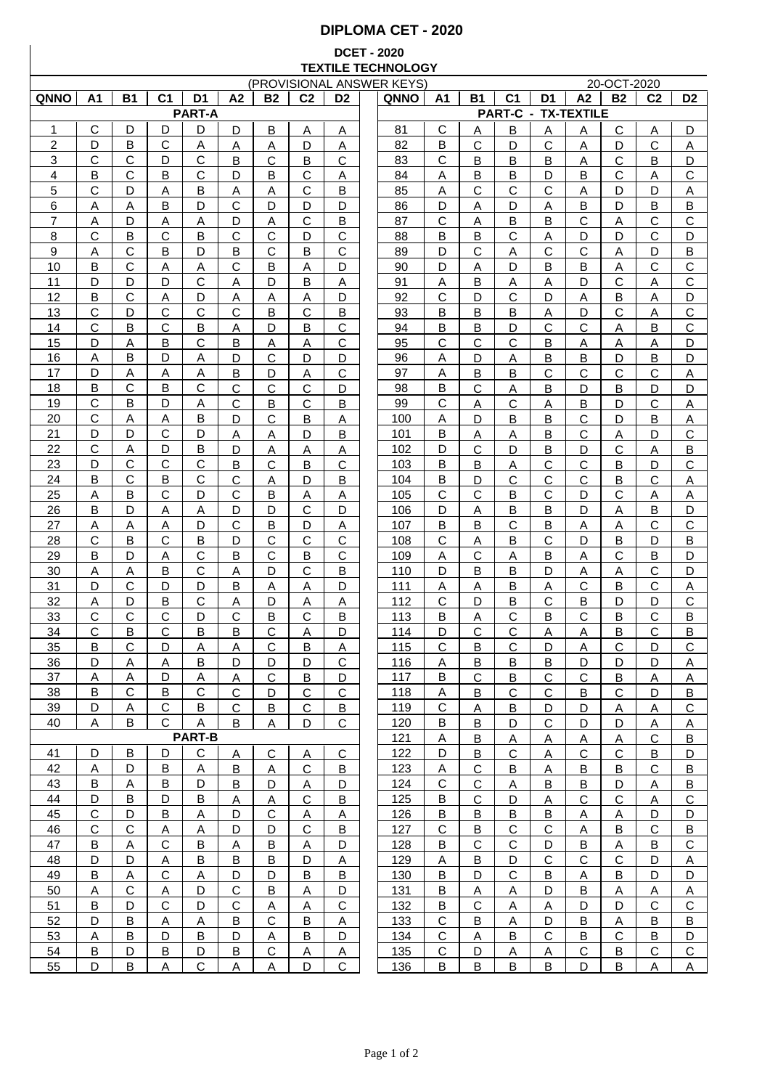## **DIPLOMA CET - 2020**

## **DCET - 2020 TEXTILE TECHNOLOGY**

| (PROVISIONAL ANSWER KEYS) |              |                |                |                |                |              |                |                |  |             | 20-OCT-2020  |                         |                |                |                            |              |                |                |
|---------------------------|--------------|----------------|----------------|----------------|----------------|--------------|----------------|----------------|--|-------------|--------------|-------------------------|----------------|----------------|----------------------------|--------------|----------------|----------------|
| <b>QNNO</b>               | A1           | <b>B1</b>      | C <sub>1</sub> | D <sub>1</sub> | A <sub>2</sub> | <b>B2</b>    | C <sub>2</sub> | D <sub>2</sub> |  | <b>QNNO</b> | Α1           | Β1                      | C <sub>1</sub> | D1             | A2                         | <b>B2</b>    | C <sub>2</sub> | D <sub>2</sub> |
|                           |              |                |                | <b>PART-A</b>  |                |              |                |                |  |             |              |                         |                |                | <b>PART-C - TX-TEXTILE</b> |              |                |                |
| 1                         | С            | D              | D              | D              | D              | B            | Α              | Α              |  | 81          | C            | Α                       | B              | Α              | A                          | C            | Α              | D              |
| $\overline{2}$            | D            | в              | С              | А              | A              | Α            | D              | A              |  | 82          | B            | С                       | D              | C              | Α                          | D            | C              | A              |
| 3                         | C            | С              | D              | C              | B              | С            | B              | C              |  | 83          | C            | B                       | B              | B              | A                          | С            | B              | D              |
| 4                         |              |                |                | $\mathsf{C}$   | D              |              | $\mathsf{C}$   |                |  |             |              |                         |                |                |                            | C            |                | $\mathsf{C}$   |
|                           | B            | С              | B              |                |                | B            |                | Α              |  | 84          | Α            | В                       | B              | D              | B                          |              | Α              |                |
| 5                         | C            | D              | A              | B              | A              | Α            | $\mathsf{C}$   | B              |  | 85          | Α            | $\mathsf{C}$            | $\mathsf{C}$   | C              | A                          | D            | D              | Α              |
| 6                         | Α            | Α              | B              | D              | $\mathsf{C}$   | D            | D              | D              |  | 86          | D            | Α                       | D              | Α              | B                          | D            | B              | B              |
| 7                         | Α            | D              | Α              | A              | D              | Α            | $\mathsf{C}$   | B              |  | 87          | $\mathbf C$  | Α                       | B              | B              | $\mathsf{C}$               | Α            | C              | $\mathsf C$    |
| 8                         | C            | В              | C              | B              | $\mathsf{C}$   | $\mathsf{C}$ | D              | $\mathsf{C}$   |  | 88          | B            | B                       | $\mathsf{C}$   | А              | D                          | D            | C              | D              |
| 9                         | Α            | С              | B              | D              | B              | C            | B              | C              |  | 89          | D            | C                       | Α              | C              | C                          | Α            | D              | B              |
| 10                        | B            | С              | Α              | A              | $\mathsf{C}$   | B            | Α              | D              |  | 90          | D            | Α                       | D              | B              | B                          | A            | C              | $\mathsf{C}$   |
| 11                        | D            | D              | D              | C              | Α              | D            | B              | Α              |  | 91          | Α            | B                       | Α              | Α              | D                          | C            | Α              | $\mathbf C$    |
| 12                        | B            | C              | Α              | D              | Α              | Α            | A              | D              |  | 92          | С            | D                       | C              | D              | Α                          | B            | Α              | D              |
| 13                        | C            | D              | C              | С              | $\mathbf C$    | B            | $\mathsf{C}$   | В              |  | 93          | B            | B                       | B              | Α              | D                          | C            | Α              | $\mathsf C$    |
| 14                        | C            | B              | С              | В              | Α              | D            | B              | С              |  | 94          | B            | Β                       | D              | C              | C                          | Α            | B              | $\mathsf C$    |
|                           |              |                |                |                |                |              |                |                |  |             |              |                         |                |                |                            |              |                |                |
| 15                        | D            | Α              | в              | С              | B              | Α            | Α              | С              |  | 95          | C            | С                       | С              | В              | Α                          | Α            | Α              | D              |
| 16                        | Α            | B              | D              | Α              | D              | C            | D              | D              |  | 96          | Α            | D                       | Α              | В              | B                          | D            | B              | D              |
| 17                        | D            | Α              | Α              | Α              | B              | D            | Α              | C              |  | 97          | Α            | В                       | B              | C              | С                          | С            | С              | Α              |
| 18                        | B            | C              | в              | C              | C              | С            | C              | D              |  | 98          | B            | C                       | Α              | B              | D                          | B            | D              | D              |
| 19                        | $\mathsf{C}$ | B              | D              | Α              | $\mathsf{C}$   | Β            | $\mathsf{C}$   | Β              |  | 99          | $\mathsf{C}$ | Α                       | $\mathsf{C}$   | Α              | B                          | D            | C              | Α              |
| 20                        | $\mathsf{C}$ | Α              | Α              | B              | D              | C            | B              | Α              |  | 100         | Α            | D                       | B              | B              | $\mathsf{C}$               | D            | B              | Α              |
| 21                        | D            | D              | С              | D              | Α              | Α            | D              | Β              |  | 101         | B            | Α                       | Α              | B              | $\mathsf{C}$               | Α            | D              | $\mathsf C$    |
| 22                        | C            | Α              | D              | B              | D              | Α            | Α              | Α              |  | 102         | D            | $\mathsf{C}$            | D              | B              | D                          | C            | Α              | B              |
| 23                        | D            | C              | $\mathsf{C}$   | $\mathsf{C}$   | B              | Ć            | $\mathsf B$    | $\mathsf{C}$   |  | 103         | B            | B                       | Α              | C              | $\mathsf{C}$               | B            | D              | C              |
| 24                        | В            | C              | в              | C              | C              | Α            | D              | В              |  | 104         | В            | D                       | С              | C              | $\mathbf C$                | В            | C              | Α              |
| 25                        | Α            | B              | C              | D              | $\mathbf C$    | B            | Α              | Α              |  | 105         | C            | C                       | B              | C              | D                          | $\mathsf{C}$ | Α              | Α              |
| 26                        | B            | D              | Α              | A              | D              | D            | $\mathsf{C}$   | D              |  | 106         | D            | Α                       | B              | B              | D                          | A            | B              | D              |
| 27                        | Α            | Α              | Α              | D              | С              | B            | D              | Α              |  | 107         | B            | B                       | Ć              | B              | A                          | Α            | С              | C              |
| 28                        | С            | B              | С              | B              | D              | С            | C              | С              |  | 108         | C            | Α                       | B              | С              | D                          | в            | D              | B              |
| 29                        | B            | D              | Α              | $\mathsf C$    | B              | C            | B              | $\mathsf{C}$   |  | 109         | Α            | С                       |                | B              |                            | C            | B              | D              |
|                           |              |                |                |                |                |              |                |                |  |             | D            |                         | Α              |                | A                          |              |                |                |
| 30                        | Α            | Α              | В              | $\mathsf C$    | Α              | D            | $\mathsf{C}$   | B              |  | 110         |              | В                       | B              | D              | Α                          | Α            | C              | D              |
| 31                        | D            | С              | D              | D              | B              | Α            | A              | D              |  | 111         | Α            | Α                       | B              | Α              | C                          | В            | $\mathbf C$    | Α              |
| 32                        | Α            | D              | B              | $\mathbf C$    | Α              | D            | A              | Α              |  | 112         | $\mathsf{C}$ | D                       | B              | $\mathsf C$    | B                          | D            | D              | $\mathsf C$    |
| 33                        | C            | C              | C              | D              | $\mathsf{C}$   | B            | $\mathsf{C}$   | B              |  | 113         | B            | Α                       | C              | B              | $\mathsf{C}$               | B            | C              | B              |
| 34                        | C            | В              | C              | B              | B              | С            | Α              | D              |  | 114         | D            | C                       | С              | Α              | Α                          | В            | С              | B              |
| 35                        | B            | С              | D              | А              | Α              | С            | B              | Α              |  | 115         | C            | B                       | C              | D              | Α                          | С            | D              | C              |
| <u>36</u>                 | D            | A              | A              | B              | D              | D            | D              | C              |  | 116         | <u>A</u>     | <u>B</u>                | <u>B</u>       | <u>B</u>       | D                          | D            | D              | Α              |
| 37                        | A            | A              | D              | A              | A              | $\mathsf{C}$ | B              | D              |  | 117         | B            | С                       | <u>B</u>       | C              | C                          | B            | <u>A</u>       | <u>A</u>       |
| 38                        | B            | C              | B              | $\mathsf{C}$   | $\mathsf{C}$   | D            | C              | $\mathsf{C}$   |  | 118         | A            | В                       | $\mathsf{C}$   | C              | B                          | $\mathsf{C}$ | D              | В              |
| 39                        | D            | $\overline{A}$ | $\mathsf{C}$   | B              | $\mathsf{C}$   | B            | C              | В              |  | 119         | $\mathbf C$  | $\overline{\mathsf{A}}$ | B              | D              | D                          | $\mathsf{A}$ | A              | C              |
| 40                        | A            | B              | $\mathbf{C}$   | A              | B              | A            | D              | C              |  | 120         | B            | В                       | D              | $\mathsf{C}$   | D                          | D            | $\overline{A}$ | $\overline{A}$ |
|                           |              |                |                | <b>PART-B</b>  |                |              |                |                |  | 121         | A            |                         |                |                |                            |              | C              | B              |
|                           |              |                |                |                |                |              |                |                |  |             |              | $\overline{B}$          | $\mathsf{A}$   | <u>A</u>       | <u>A</u>                   | <u>A</u>     |                |                |
| 41                        | D            | В              | D              | C              | A              | $\mathsf C$  | Α              | C              |  | 122         | D            | В                       | $\mathsf{C}$   | Α              | $\mathsf{C}$               | C.           | B              | D              |
| 42                        | Α            | D              | В              | A              | B              | Α            | С              | В              |  | 123         | A            | C                       | B              | Α              | B                          | B            | C              | В              |
| 43                        | B            | <u>A</u>       | B              | D              | B              | D            | Α              | D              |  | 124         | С            | $\mathbf C$             | Α              | В              | B                          | D            | Α              | B              |
| 44                        | D            | В              | D              | B              | $\overline{A}$ | <u>A</u>     | $\mathsf{C}$   | В              |  | 125         | B            | $\mathbf C$             | $\mathsf{D}$   | $\overline{A}$ | $\mathsf{C}$               | C            | $\overline{A}$ | $\overline{C}$ |
| 45                        | $\mathbf C$  | D              | B              | Α              | D              | C            | Α              | <u>А</u>       |  | 126         | B            | B                       | $\overline{B}$ | $\overline{B}$ | $\mathsf{A}$               | Α            | D              | D              |
| 46                        | $\mathsf{C}$ | $\mathbf C$    | $\overline{A}$ | $\overline{A}$ | D              | D            | $\mathsf{C}$   | B              |  | 127         | $\mathbf C$  | $\overline{B}$          | ${\bf C}$      | ${\bf C}$      | $\mathsf{A}$               | В            | $\mathbf C$    | $\overline{B}$ |
| 47                        | B            | Α              | $\mathbf C$    | В              | <u>A</u>       | B            | A              | D              |  | 128         | B            | $\mathsf C$             | $\mathsf C$    | D              | $\overline{B}$             | <u>A</u>     | B              | $\mathsf C$    |
| 48                        | D            | D              | A              | B              | B              | B            | D              | Α              |  | 129         | Α            | B                       | D              | $\mathsf{C}$   | $\mathbf{C}$               | $\mathbf C$  | D              | A              |
| 49                        | B            | Α              | C              | A              | D              | D            | В              | В              |  | 130         | B            | D                       | $\mathsf{C}$   | B              | A                          | B            | D              | D              |
| 50                        | A            | $\mathbf C$    | A              | D              | $\mathsf{C}$   | B            | A              | D              |  | 131         | В            | Α                       | A              | D              | B                          | Α            | Α              | $\overline{A}$ |
| 51                        | B            | D              | C              | D              | C              | A            | A              | C              |  | 132         | В            | C                       | A              | A              | D                          | D            | $\mathsf{C}$   | $\mathsf C$    |
| 52                        | D            | B              | Α              | A              |                | C            | B              |                |  | 133         | $\mathbf C$  |                         | A              |                |                            |              |                | $\overline{B}$ |
|                           |              |                | D              |                | В              |              |                | Α              |  |             | C            | В                       |                | D              | B                          | Α            | В              |                |
| 53                        | A            | В              |                | В              | D              | Α            | B              | D              |  | 134         |              | A                       | В              | C              | B                          | C            | B              | D              |
| 54                        | В            | D              | В              | D              | В              | С            | Α              | Α              |  | 135         | C            | D                       | Α              | Α              | $\mathsf{C}$               | В            | $\mathsf{C}$   | $\mathsf C$    |
| 55                        | D            | B              | A              | $\mathbf C$    | A              | А            | D              | $\mathsf C$    |  | 136         | B            | B                       | B              | B              | D                          | B            | Α              | Α              |